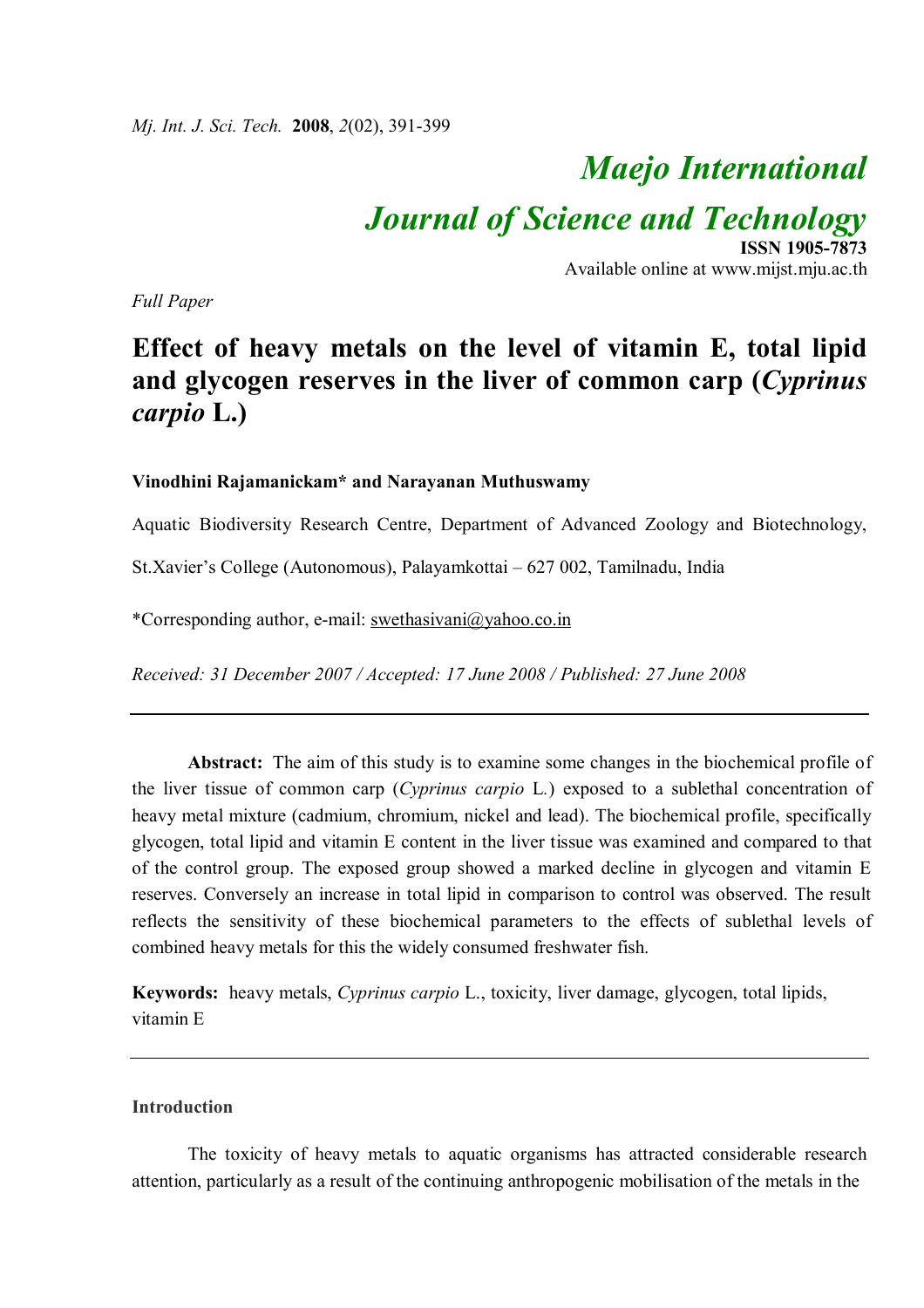*Mj. Int. J. Sci. Tech.* **2008**, *2*(02), 391-399

# *Maejo International*

*Journal of Science and Technology*

**ISSN 1905-7873** Available online at www.mijst.mju.ac.th

*Full Paper*

# **Effect of heavy metals on the level of vitamin E, total lipid and glycogen reserves in the liver of common carp (***Cyprinus carpio* **L.)**

### **Vinodhini Rajamanickam\* and Narayanan Muthuswamy**

Aquatic Biodiversity Research Centre, Department of Advanced Zoology and Biotechnology,

St.Xavier's College (Autonomous), Palayamkottai – 627 002, Tamilnadu, India

\*Corresponding author, e-mail: swethasivani@yahoo.co.in

*Received: 31 December 2007 / Accepted: 17 June 2008 / Published: 27 June 2008*

**Abstract:** The aim of this study is to examine some changes in the biochemical profile of the liver tissue of common carp (*Cyprinus carpio* L*.*) exposed to a sublethal concentration of heavy metal mixture (cadmium, chromium, nickel and lead). The biochemical profile, specifically glycogen, total lipid and vitamin E content in the liver tissue was examined and compared to that of the control group. The exposed group showed a marked decline in glycogen and vitamin E reserves. Conversely an increase in total lipid in comparison to control was observed. The result reflects the sensitivity of these biochemical parameters to the effects of sublethal levels of combined heavy metals for this the widely consumed freshwater fish.

**Keywords:** heavy metals, *Cyprinus carpio* L., toxicity, liver damage, glycogen, total lipids, vitamin E

## **Introduction**

The toxicity of heavy metals to aquatic organisms has attracted considerable research attention, particularly as a result of the continuing anthropogenic mobilisation of the metals in the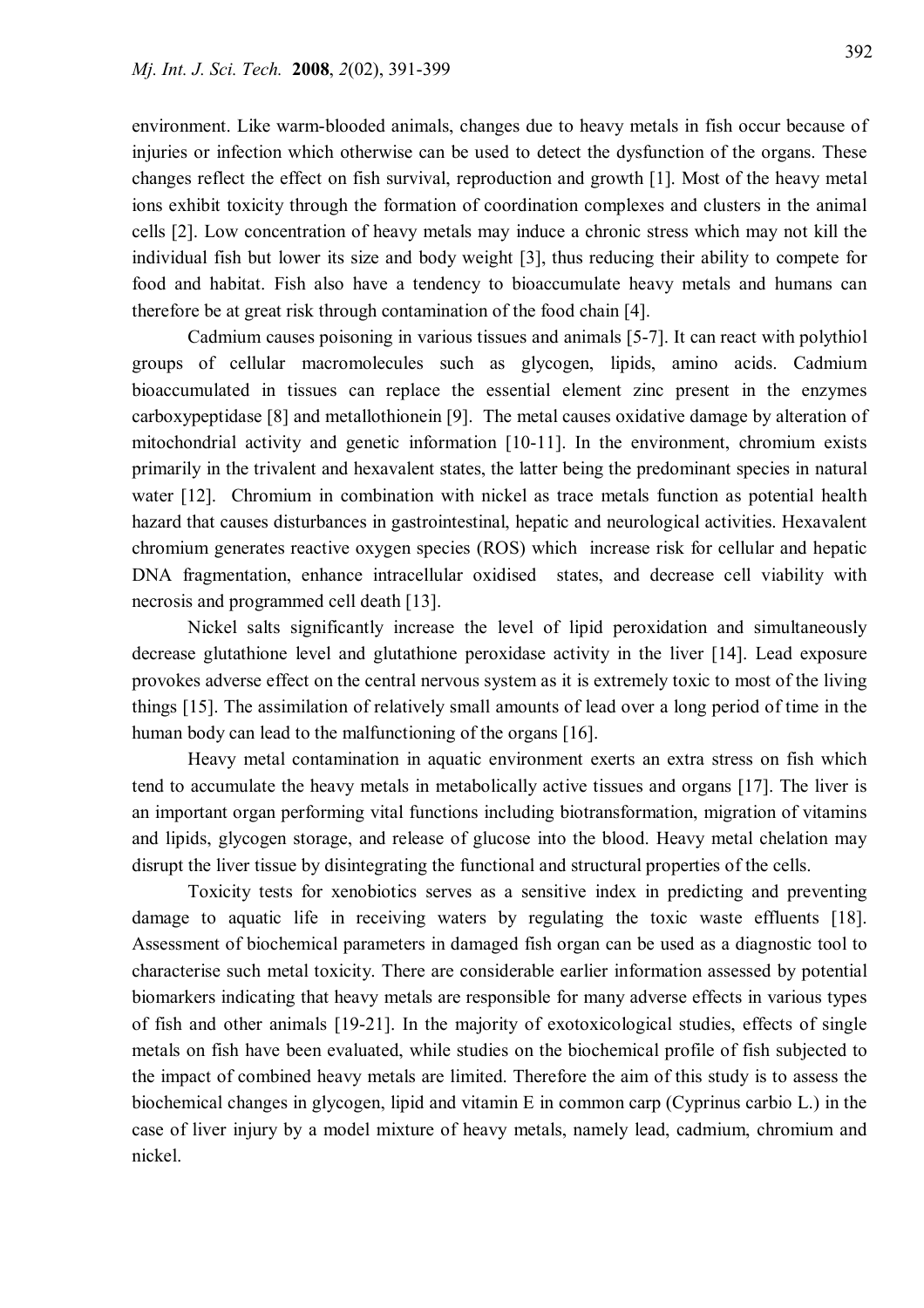environment. Like warm-blooded animals, changes due to heavy metals in fish occur because of injuries or infection which otherwise can be used to detect the dysfunction of the organs. These changes reflect the effect on fish survival, reproduction and growth [1]. Most of the heavy metal ions exhibit toxicity through the formation of coordination complexes and clusters in the animal cells [2]. Low concentration of heavy metals may induce a chronic stress which may not kill the individual fish but lower its size and body weight [3], thus reducing their ability to compete for food and habitat. Fish also have a tendency to bioaccumulate heavy metals and humans can therefore be at great risk through contamination of the food chain [4].

Cadmium causes poisoning in various tissues and animals [5-7]. It can react with polythiol groups of cellular macromolecules such as glycogen, lipids, amino acids. Cadmium bioaccumulated in tissues can replace the essential element zinc present in the enzymes carboxypeptidase [8] and metallothionein [9]. The metal causes oxidative damage by alteration of mitochondrial activity and genetic information [10-11]. In the environment, chromium exists primarily in the trivalent and hexavalent states, the latter being the predominant species in natural water [12]. Chromium in combination with nickel as trace metals function as potential health hazard that causes disturbances in gastrointestinal, hepatic and neurological activities. Hexavalent chromium generates reactive oxygen species (ROS) which increase risk for cellular and hepatic DNA fragmentation, enhance intracellular oxidised states, and decrease cell viability with necrosis and programmed cell death [13].

Nickel salts significantly increase the level of lipid peroxidation and simultaneously decrease glutathione level and glutathione peroxidase activity in the liver [14]. Lead exposure provokes adverse effect on the central nervous system as it is extremely toxic to most of the living things [15]. The assimilation of relatively small amounts of lead over a long period of time in the human body can lead to the malfunctioning of the organs [16].

Heavy metal contamination in aquatic environment exerts an extra stress on fish which tend to accumulate the heavy metals in metabolically active tissues and organs [17]. The liver is an important organ performing vital functions including biotransformation, migration of vitamins and lipids, glycogen storage, and release of glucose into the blood. Heavy metal chelation may disrupt the liver tissue by disintegrating the functional and structural properties of the cells.

Toxicity tests for xenobiotics serves as a sensitive index in predicting and preventing damage to aquatic life in receiving waters by regulating the toxic waste effluents [18]. Assessment of biochemical parameters in damaged fish organ can be used as a diagnostic tool to characterise such metal toxicity. There are considerable earlier information assessed by potential biomarkers indicating that heavy metals are responsible for many adverse effects in various types of fish and other animals [19-21]. In the majority of exotoxicological studies, effects of single metals on fish have been evaluated, while studies on the biochemical profile of fish subjected to the impact of combined heavy metals are limited. Therefore the aim of this study is to assess the biochemical changes in glycogen, lipid and vitamin E in common carp (Cyprinus carbio L.) in the case of liver injury by a model mixture of heavy metals, namely lead, cadmium, chromium and nickel.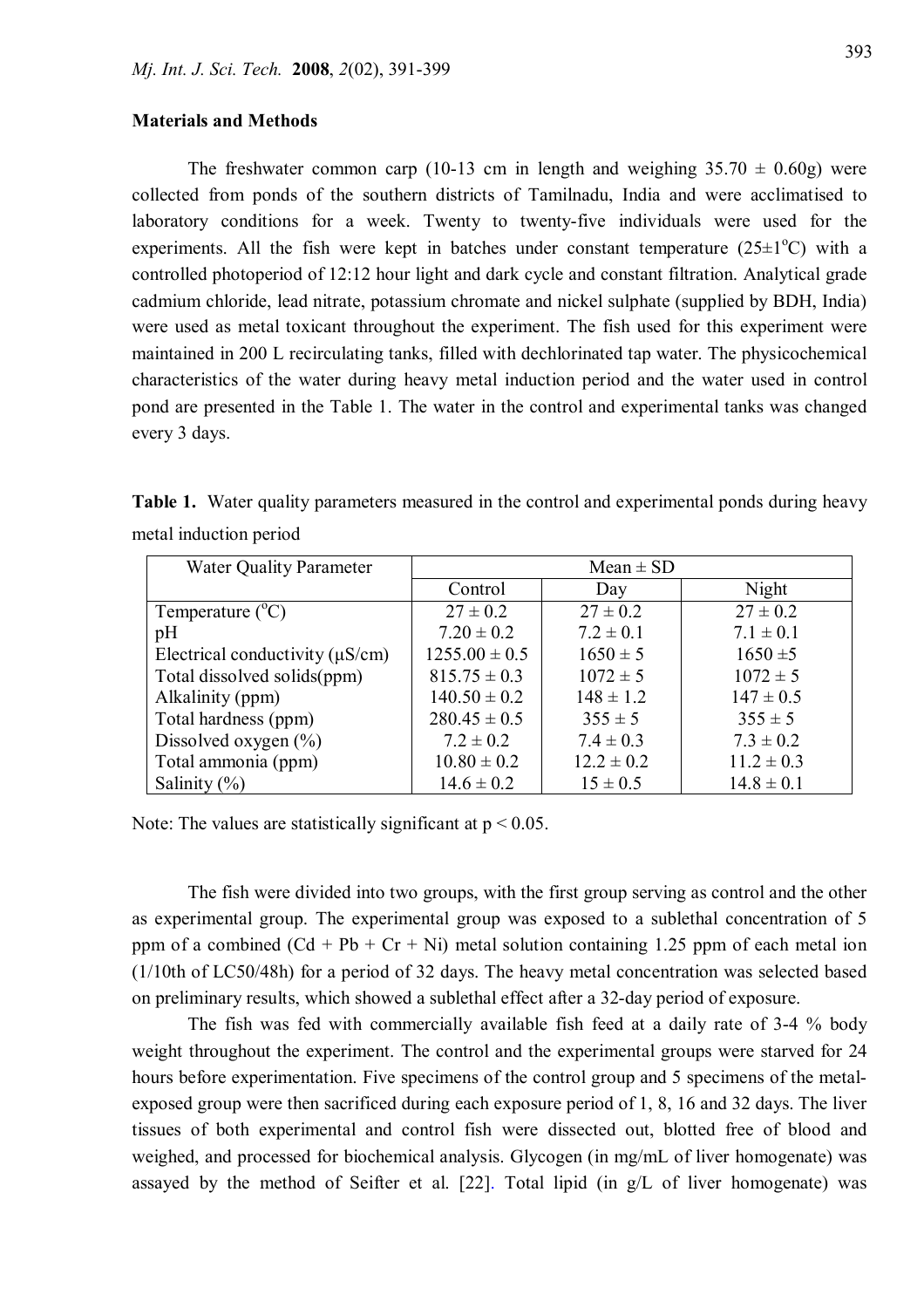#### **Materials and Methods**

The freshwater common carp (10-13 cm in length and weighing  $35.70 \pm 0.60$ g) were collected from ponds of the southern districts of Tamilnadu, India and were acclimatised to laboratory conditions for a week. Twenty to twenty-five individuals were used for the experiments. All the fish were kept in batches under constant temperature  $(25\pm1^{\circ}C)$  with a controlled photoperiod of 12:12 hour light and dark cycle and constant filtration. Analytical grade cadmium chloride, lead nitrate, potassium chromate and nickel sulphate (supplied by BDH, India) were used as metal toxicant throughout the experiment. The fish used for this experiment were maintained in 200 L recirculating tanks, filled with dechlorinated tap water. The physicochemical characteristics of the water during heavy metal induction period and the water used in control pond are presented in the Table 1. The water in the control and experimental tanks was changed every 3 days.

**Table 1.** Water quality parameters measured in the control and experimental ponds during heavy metal induction period

| <b>Water Quality Parameter</b>       | $Mean \pm SD$     |                |                |  |  |
|--------------------------------------|-------------------|----------------|----------------|--|--|
|                                      | Control           | Day            | Night          |  |  |
| Temperature $(^{\circ}C)$            | $27 \pm 0.2$      | $27 \pm 0.2$   | $27 \pm 0.2$   |  |  |
| pH                                   | $7.20 \pm 0.2$    | $7.2 \pm 0.1$  | $7.1 \pm 0.1$  |  |  |
| Electrical conductivity $(\mu S/cm)$ | $1255.00 \pm 0.5$ | $1650 \pm 5$   | $1650 \pm 5$   |  |  |
| Total dissolved solids(ppm)          | $815.75 \pm 0.3$  | $1072 \pm 5$   | $1072 \pm 5$   |  |  |
| Alkalinity (ppm)                     | $140.50 \pm 0.2$  | $148 \pm 1.2$  | $147 \pm 0.5$  |  |  |
| Total hardness (ppm)                 | $280.45 \pm 0.5$  | $355 \pm 5$    | $355 \pm 5$    |  |  |
| Dissolved oxygen $(\% )$             | $7.2 \pm 0.2$     | $7.4 \pm 0.3$  | $7.3 \pm 0.2$  |  |  |
| Total ammonia (ppm)                  | $10.80 \pm 0.2$   | $12.2 \pm 0.2$ | $11.2 \pm 0.3$ |  |  |
| Salinity $(\% )$                     | $14.6 \pm 0.2$    | $15 \pm 0.5$   | $14.8 \pm 0.1$ |  |  |

Note: The values are statistically significant at  $p < 0.05$ .

The fish were divided into two groups, with the first group serving as control and the other as experimental group. The experimental group was exposed to a sublethal concentration of 5 ppm of a combined  $(Cd + Pb + Cr + Ni)$  metal solution containing 1.25 ppm of each metal ion (1/10th of LC50/48h) for a period of 32 days. The heavy metal concentration was selected based on preliminary results, which showed a sublethal effect after a 32-day period of exposure.

The fish was fed with commercially available fish feed at a daily rate of 3-4 % body weight throughout the experiment. The control and the experimental groups were starved for 24 hours before experimentation. Five specimens of the control group and 5 specimens of the metalexposed group were then sacrificed during each exposure period of 1, 8, 16 and 32 days. The liver tissues of both experimental and control fish were dissected out, blotted free of blood and weighed, and processed for biochemical analysis. Glycogen (in mg/mL of liver homogenate) was assayed by the method of Seifter et al. [22]. Total lipid (in g/L of liver homogenate) was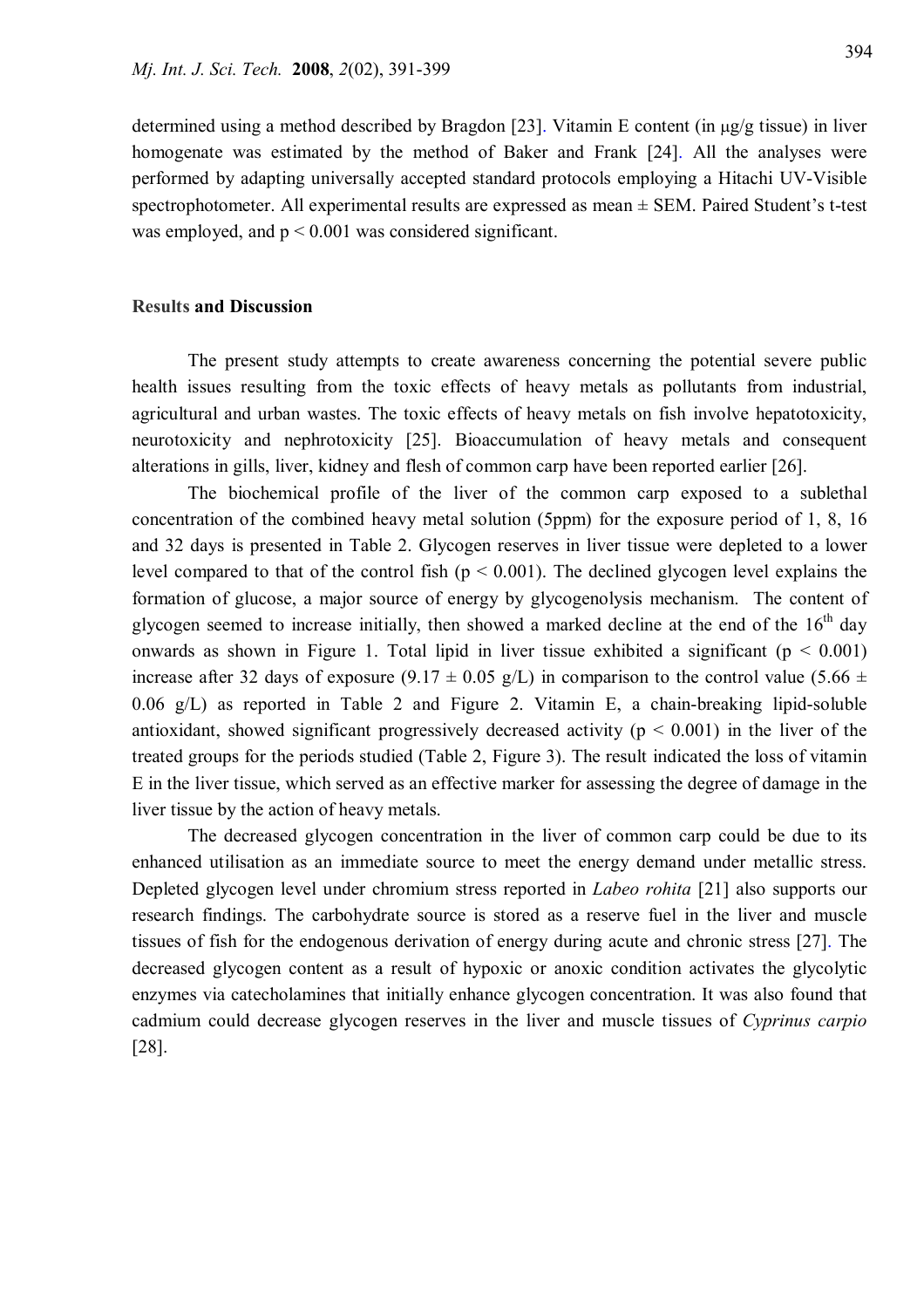determined using a method described by Bragdon [23]. Vitamin E content (in  $\mu$ g/g tissue) in liver homogenate was estimated by the method of Baker and Frank [24]. All the analyses were performed by adapting universally accepted standard protocols employing a Hitachi UV-Visible spectrophotometer. All experimental results are expressed as mean ± SEM. Paired Student's t-test was employed, and  $p \le 0.001$  was considered significant.

#### **Results and Discussion**

The present study attempts to create awareness concerning the potential severe public health issues resulting from the toxic effects of heavy metals as pollutants from industrial, agricultural and urban wastes. The toxic effects of heavy metals on fish involve hepatotoxicity, neurotoxicity and nephrotoxicity [25]. Bioaccumulation of heavy metals and consequent alterations in gills, liver, kidney and flesh of common carp have been reported earlier [26].

The biochemical profile of the liver of the common carp exposed to a sublethal concentration of the combined heavy metal solution (5ppm) for the exposure period of 1, 8, 16 and 32 days is presented in Table 2. Glycogen reserves in liver tissue were depleted to a lower level compared to that of the control fish ( $p < 0.001$ ). The declined glycogen level explains the formation of glucose, a major source of energy by glycogenolysis mechanism. The content of glycogen seemed to increase initially, then showed a marked decline at the end of the  $16<sup>th</sup>$  day onwards as shown in Figure 1. Total lipid in liver tissue exhibited a significant ( $p < 0.001$ ) increase after 32 days of exposure (9.17  $\pm$  0.05 g/L) in comparison to the control value (5.66  $\pm$ 0.06 g/L) as reported in Table 2 and Figure 2. Vitamin E, a chain-breaking lipid-soluble antioxidant, showed significant progressively decreased activity ( $p < 0.001$ ) in the liver of the treated groups for the periods studied (Table 2, Figure 3). The result indicated the loss of vitamin E in the liver tissue, which served as an effective marker for assessing the degree of damage in the liver tissue by the action of heavy metals.

The decreased glycogen concentration in the liver of common carp could be due to its enhanced utilisation as an immediate source to meet the energy demand under metallic stress. Depleted glycogen level under chromium stress reported in *Labeo rohita* [21] also supports our research findings. The carbohydrate source is stored as a reserve fuel in the liver and muscle tissues of fish for the endogenous derivation of energy during acute and chronic stress [27]. The decreased glycogen content as a result of hypoxic or anoxic condition activates the glycolytic enzymes via catecholamines that initially enhance glycogen concentration. It was also found that cadmium could decrease glycogen reserves in the liver and muscle tissues of *Cyprinus carpio* [28].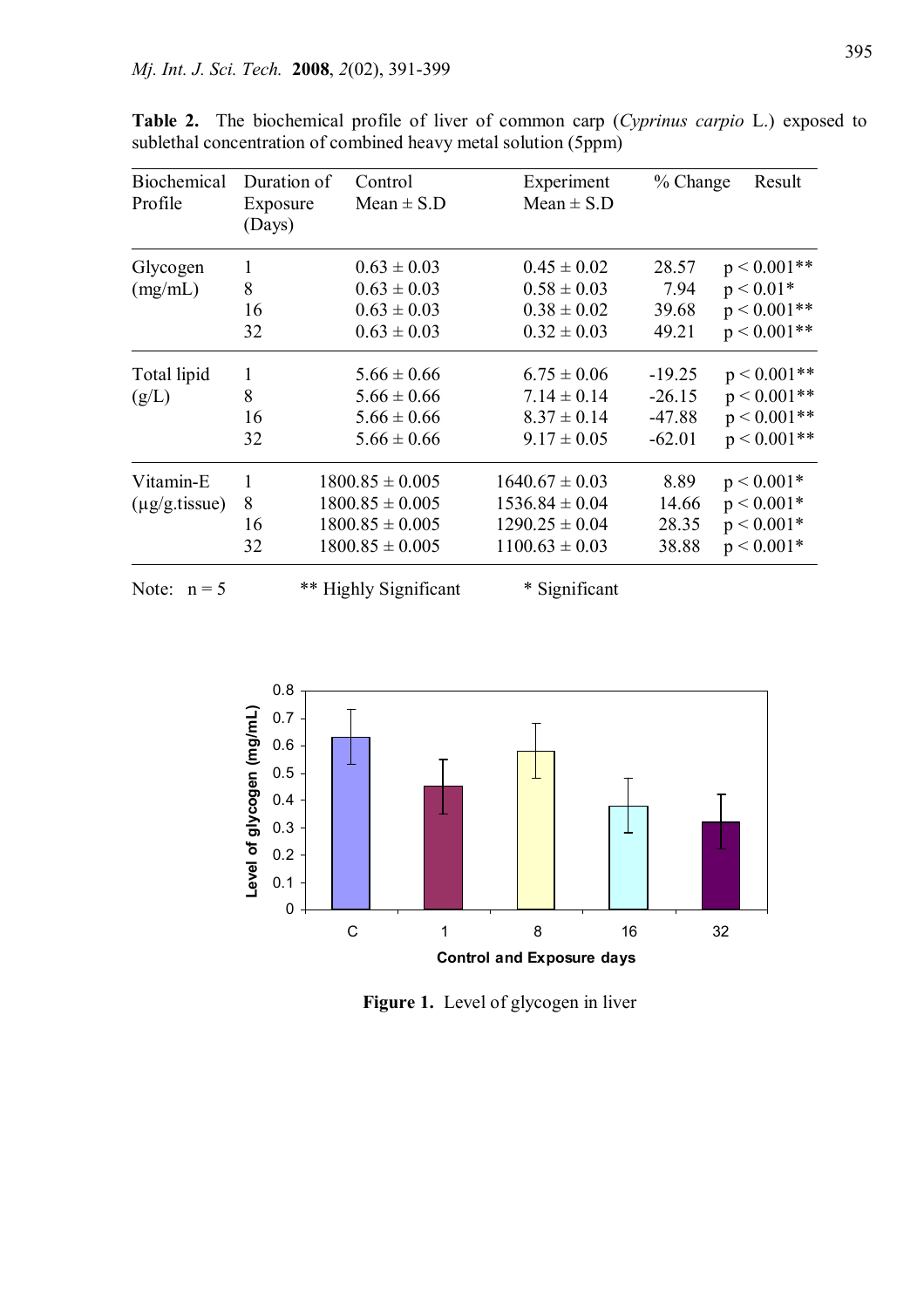| <b>Biochemical</b><br>Profile | Duration of<br>Exposure | Control<br>$Mean \pm S.D$ | Experiment<br>$Mean \pm S.D$ | $%$ Change | Result         |
|-------------------------------|-------------------------|---------------------------|------------------------------|------------|----------------|
|                               | (Days)                  |                           |                              |            |                |
| Glycogen                      | $\mathbf{1}$            | $0.63 \pm 0.03$           | $0.45 \pm 0.02$              | 28.57      | $p < 0.001**$  |
| (mg/mL)                       | 8                       | $0.63 \pm 0.03$           | $0.58 \pm 0.03$              | 7.94       | $p < 0.01*$    |
|                               | 16                      | $0.63 \pm 0.03$           | $0.38 \pm 0.02$              | 39.68      | $p < 0.001**$  |
|                               | 32                      | $0.63 \pm 0.03$           | $0.32 \pm 0.03$              | 49.21      | $p < 0.001**$  |
| Total lipid                   | $\mathbf{1}$            | $5.66 \pm 0.66$           | $6.75 \pm 0.06$              | $-19.25$   | $p < 0.001$ ** |
| (g/L)                         | 8                       | $5.66 \pm 0.66$           | $7.14 \pm 0.14$              | $-26.15$   | $p < 0.001$ ** |
|                               | 16                      | $5.66 \pm 0.66$           | $8.37 \pm 0.14$              | $-47.88$   | $p < 0.001$ ** |
|                               | 32                      | $5.66 \pm 0.66$           | $9.17 \pm 0.05$              | $-62.01$   | $p < 0.001**$  |
| Vitamin-E                     | 1                       | $1800.85 \pm 0.005$       | $1640.67 \pm 0.03$           | 8.89       | $p < 0.001*$   |
| $(\mu g/g.tissue)$            | 8                       | $1800.85 \pm 0.005$       | $1536.84 \pm 0.04$           | 14.66      | $p < 0.001*$   |
|                               | 16                      | $1800.85 \pm 0.005$       | $1290.25 \pm 0.04$           | 28.35      | $p < 0.001*$   |
|                               | 32                      | $1800.85 \pm 0.005$       | $1100.63 \pm 0.03$           | 38.88      | $p < 0.001*$   |
| Note: $n = 5$                 |                         | ** Highly Significant     | * Significant                |            |                |

**Table 2.** The biochemical profile of liver of common carp (*Cyprinus carpio* L.) exposed to sublethal concentration of combined heavy metal solution (5ppm)



**Figure 1.** Level of glycogen in liver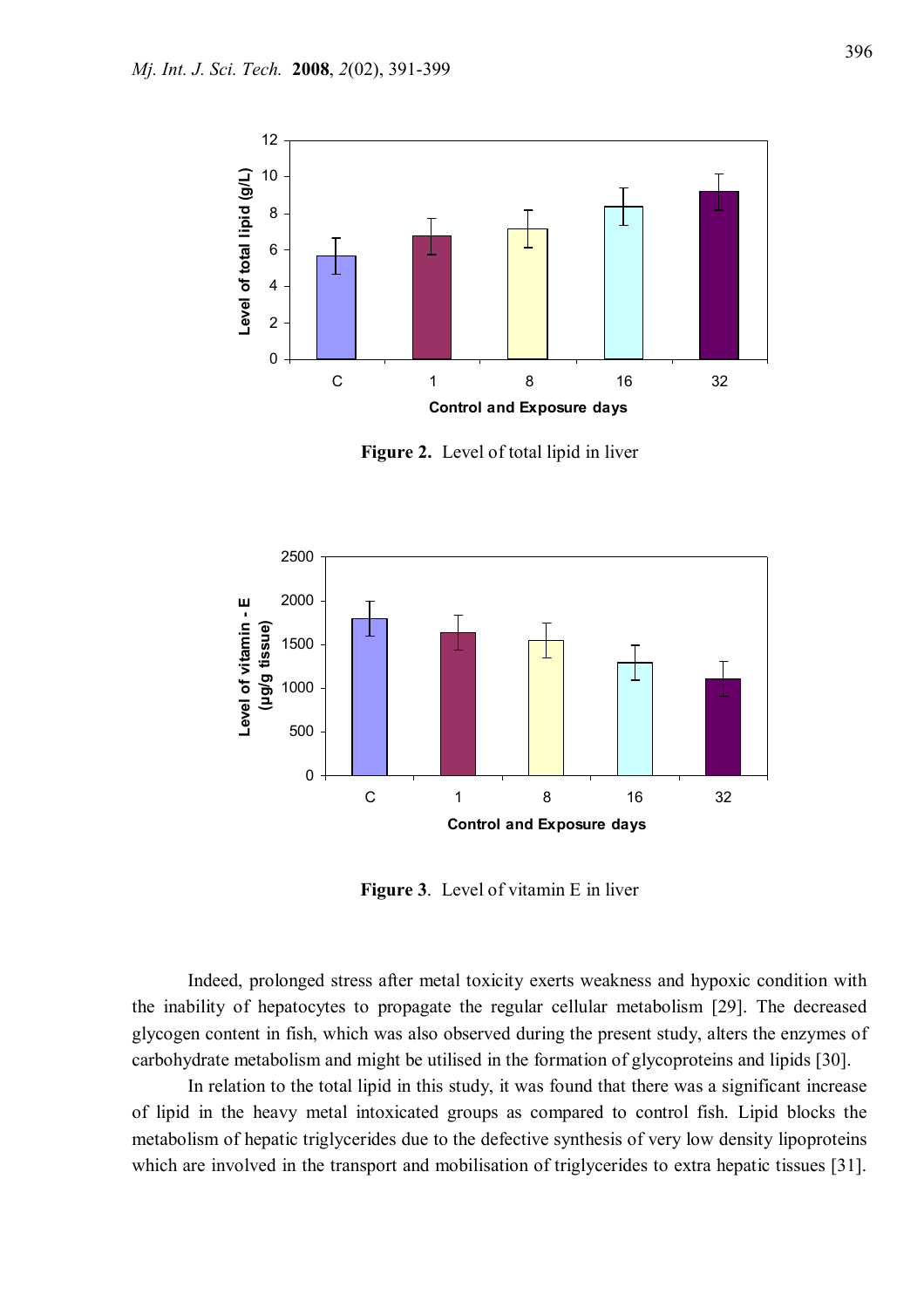

**Figure 2.** Level of total lipid in liver



**Figure 3**. Level of vitamin E in liver

Indeed, prolonged stress after metal toxicity exerts weakness and hypoxic condition with the inability of hepatocytes to propagate the regular cellular metabolism [29]. The decreased glycogen content in fish, which was also observed during the present study, alters the enzymes of carbohydrate metabolism and might be utilised in the formation of glycoproteins and lipids [30].

In relation to the total lipid in this study, it was found that there was a significant increase of lipid in the heavy metal intoxicated groups as compared to control fish. Lipid blocks the metabolism of hepatic triglycerides due to the defective synthesis of very low density lipoproteins which are involved in the transport and mobilisation of triglycerides to extra hepatic tissues [31].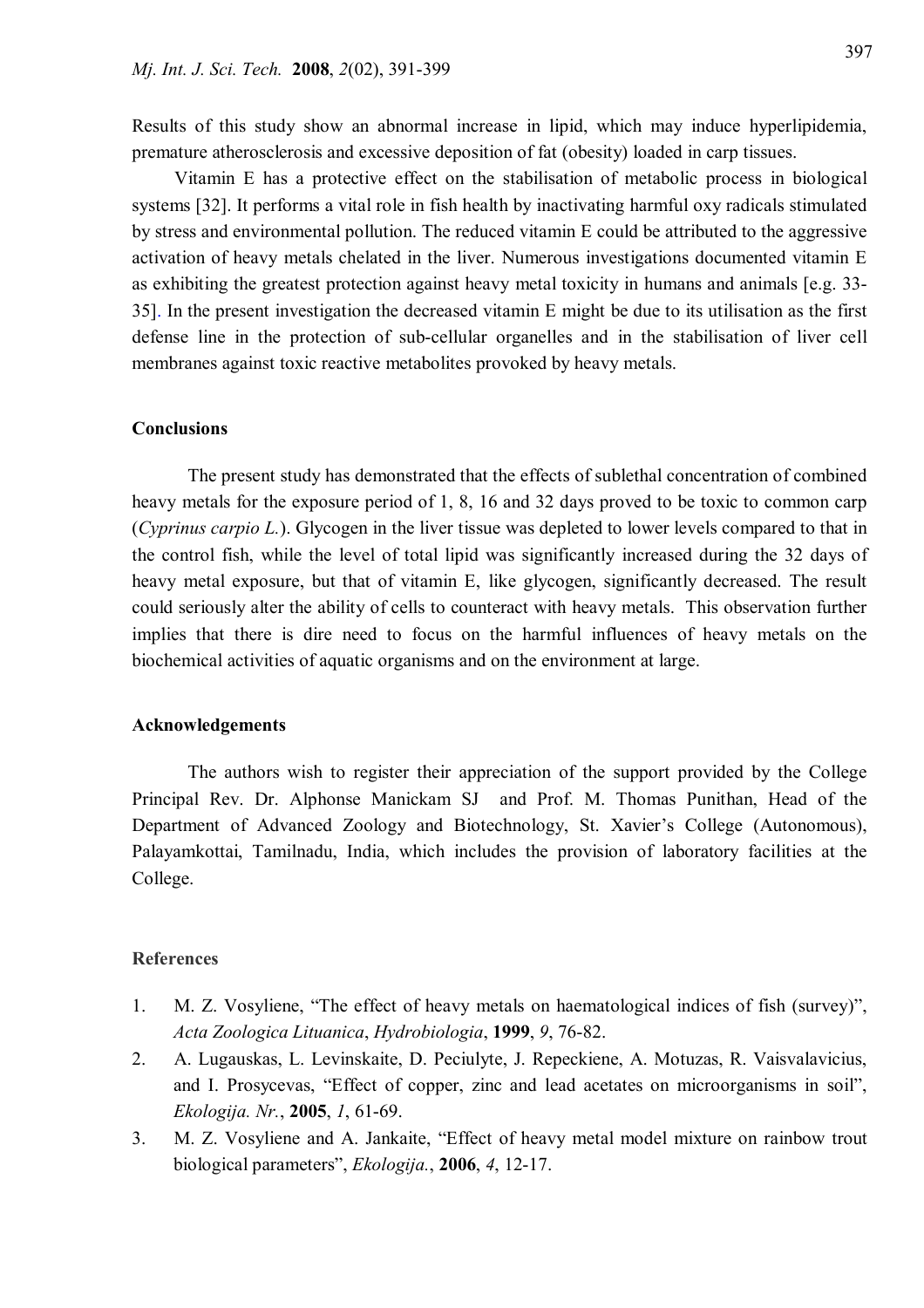Results of this study show an abnormal increase in lipid, which may induce hyperlipidemia, premature atherosclerosis and excessive deposition of fat (obesity) loaded in carp tissues.

 Vitamin E has a protective effect on the stabilisation of metabolic process in biological systems [32]. It performs a vital role in fish health by inactivating harmful oxy radicals stimulated by stress and environmental pollution. The reduced vitamin E could be attributed to the aggressive activation of heavy metals chelated in the liver. Numerous investigations documented vitamin E as exhibiting the greatest protection against heavy metal toxicity in humans and animals [e.g. 33- 35]. In the present investigation the decreased vitamin E might be due to its utilisation as the first defense line in the protection of sub-cellular organelles and in the stabilisation of liver cell membranes against toxic reactive metabolites provoked by heavy metals.

#### **Conclusions**

The present study has demonstrated that the effects of sublethal concentration of combined heavy metals for the exposure period of 1, 8, 16 and 32 days proved to be toxic to common carp (*Cyprinus carpio L.*). Glycogen in the liver tissue was depleted to lower levels compared to that in the control fish, while the level of total lipid was significantly increased during the 32 days of heavy metal exposure, but that of vitamin E, like glycogen, significantly decreased. The result could seriously alter the ability of cells to counteract with heavy metals. This observation further implies that there is dire need to focus on the harmful influences of heavy metals on the biochemical activities of aquatic organisms and on the environment at large.

#### **Acknowledgements**

The authors wish to register their appreciation of the support provided by the College Principal Rev. Dr. Alphonse Manickam SJ and Prof. M. Thomas Punithan, Head of the Department of Advanced Zoology and Biotechnology, St. Xavier's College (Autonomous), Palayamkottai, Tamilnadu, India, which includes the provision of laboratory facilities at the College.

### **References**

- 1. M. Z. Vosyliene, "The effect of heavy metals on haematological indices of fish (survey)", *Acta Zoologica Lituanica*, *Hydrobiologia*, **1999**, *9*, 76-82.
- 2. A. Lugauskas, L. Levinskaite, D. Peciulyte, J. Repeckiene, A. Motuzas, R. Vaisvalavicius, and I. Prosycevas, "Effect of copper, zinc and lead acetates on microorganisms in soil", *Ekologija. Nr.*, **2005**, *1*, 61-69.
- 3. M. Z. Vosyliene and A. Jankaite, "Effect of heavy metal model mixture on rainbow trout biological parameters", *Ekologija.*, **2006**, *4*, 12-17.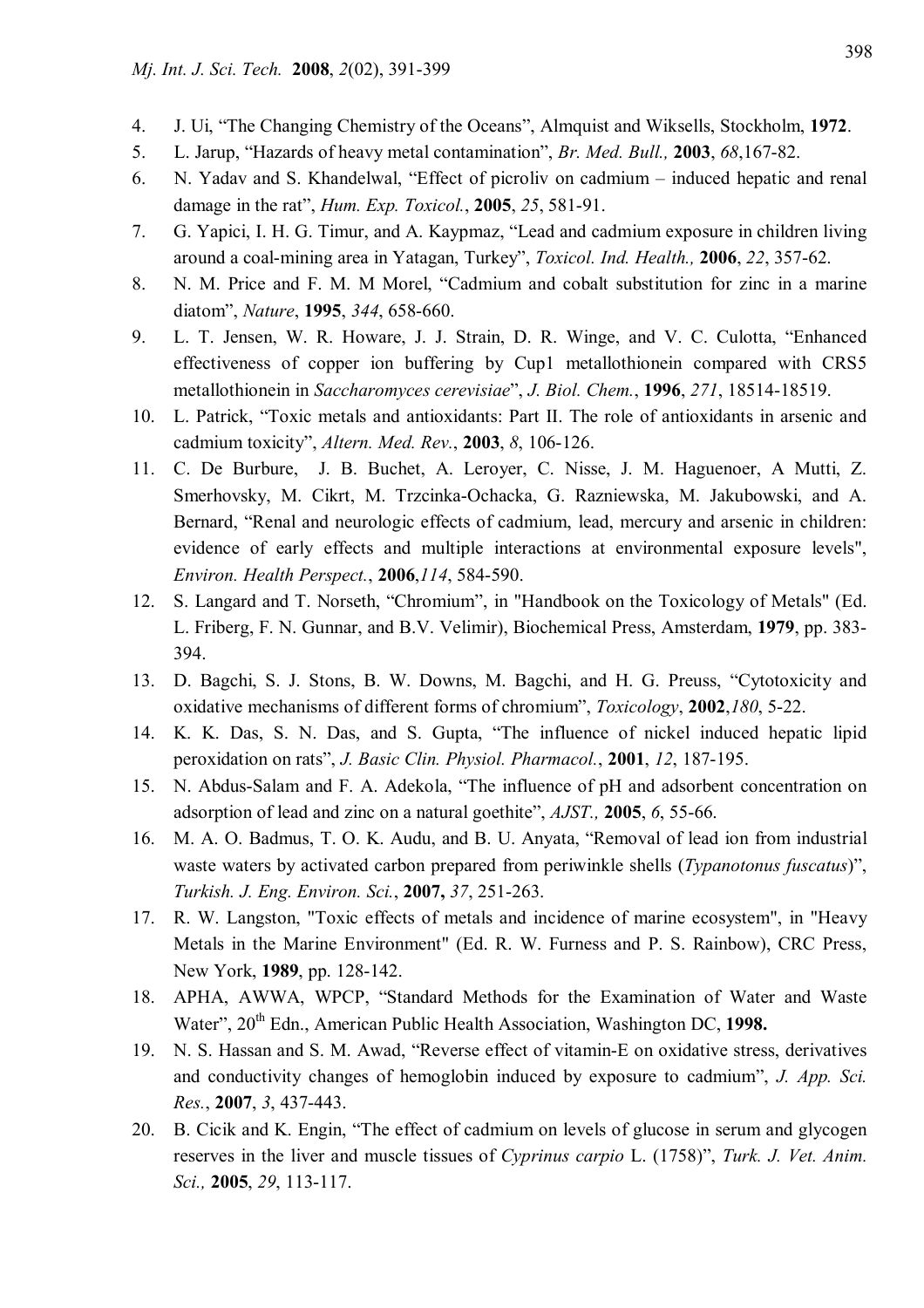- 4. J. Ui, "The Changing Chemistry of the Oceans", Almquist and Wiksells, Stockholm, **1972**.
- 5. L. Jarup, "Hazards of heavy metal contamination", *Br. Med. Bull.,* **2003**, *68*,167-82.
- 6. N. Yadav and S. Khandelwal, "Effect of picroliv on cadmium induced hepatic and renal damage in the rat", *Hum. Exp. Toxicol.*, **2005**, *25*, 581-91.
- 7. G. Yapici, I. H. G. Timur, and A. Kaypmaz, "Lead and cadmium exposure in children living around a coal-mining area in Yatagan, Turkey", *Toxicol. Ind. Health.,* **2006**, *22*, 357-62.
- 8. N. M. Price and F. M. M Morel, "Cadmium and cobalt substitution for zinc in a marine diatom", *Nature*, **1995**, *344*, 658-660.
- 9. L. T. Jensen, W. R. Howare, J. J. Strain, D. R. Winge, and V. C. Culotta, "Enhanced effectiveness of copper ion buffering by Cup1 metallothionein compared with CRS5 metallothionein in *Saccharomyces cerevisiae*", *J. Biol. Chem.*, **1996**, *271*, 18514-18519.
- 10. L. Patrick, "Toxic metals and antioxidants: Part II. The role of antioxidants in arsenic and cadmium toxicity", *Altern. Med. Rev.*, **2003**, *8*, 106-126.
- 11. C. De Burbure, J. B. Buchet, A. Leroyer, C. Nisse, J. M. Haguenoer, A Mutti, Z. Smerhovsky, M. Cikrt, M. Trzcinka-Ochacka, G. Razniewska, M. Jakubowski, and A. Bernard, "Renal and neurologic effects of cadmium, lead, mercury and arsenic in children: evidence of early effects and multiple interactions at environmental exposure levels", *Environ. Health Perspect.*, **2006**,*114*, 584-590.
- 12. S. Langard and T. Norseth, "Chromium", in "Handbook on the Toxicology of Metals" (Ed. L. Friberg, F. N. Gunnar, and B.V. Velimir), Biochemical Press, Amsterdam, **1979**, pp. 383- 394.
- 13. D. Bagchi, S. J. Stons, B. W. Downs, M. Bagchi, and H. G. Preuss, "Cytotoxicity and oxidative mechanisms of different forms of chromium", *Toxicology*, **2002**,*180*, 5-22.
- 14. K. K. Das, S. N. Das, and S. Gupta, "The influence of nickel induced hepatic lipid peroxidation on rats", *J. Basic Clin. Physiol. Pharmacol.*, **2001**, *12*, 187-195.
- 15. N. Abdus-Salam and F. A. Adekola, "The influence of pH and adsorbent concentration on adsorption of lead and zinc on a natural goethite", *AJST.,* **2005**, *6*, 55-66.
- 16. M. A. O. Badmus, T. O. K. Audu, and B. U. Anyata, "Removal of lead ion from industrial waste waters by activated carbon prepared from periwinkle shells (*Typanotonus fuscatus*)", *Turkish. J. Eng. Environ. Sci.*, **2007,** *37*, 251-263.
- 17. R. W. Langston, "Toxic effects of metals and incidence of marine ecosystem", in "Heavy Metals in the Marine Environment" (Ed. R. W. Furness and P. S. Rainbow), CRC Press, New York, **1989**, pp. 128-142.
- 18. APHA, AWWA, WPCP, "Standard Methods for the Examination of Water and Waste Water", 20<sup>th</sup> Edn., American Public Health Association, Washington DC, 1998.
- 19. N. S. Hassan and S. M. Awad, "Reverse effect of vitamin-E on oxidative stress, derivatives and conductivity changes of hemoglobin induced by exposure to cadmium", *J. App. Sci. Res.*, **2007**, *3*, 437-443.
- 20. B. Cicik and K. Engin, "The effect of cadmium on levels of glucose in serum and glycogen reserves in the liver and muscle tissues of *Cyprinus carpio* L. (1758)", *Turk. J. Vet. Anim. Sci.,* **2005**, *29*, 113-117.